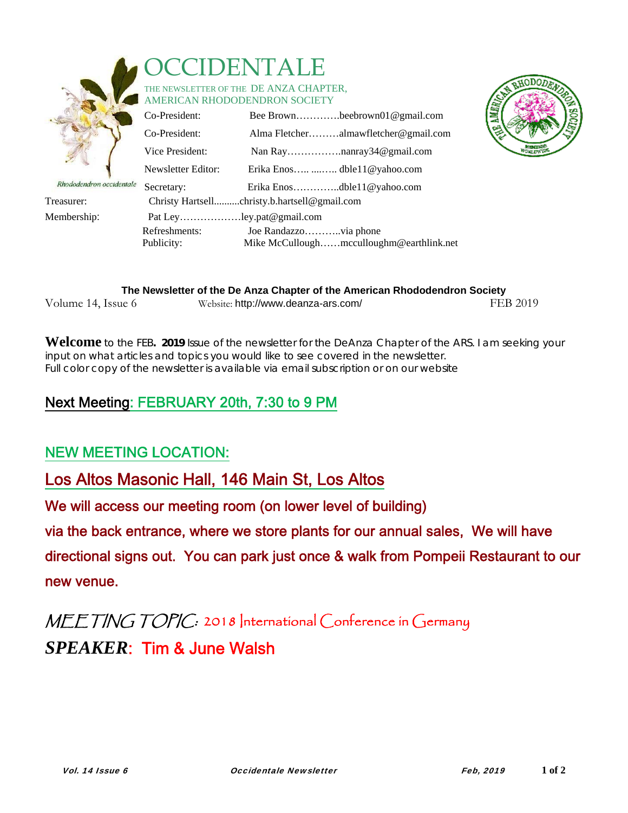

# **DENTALE**

#### THE NEWSLETTER OF THE DE ANZA CHAPTER. AMERICAN RHODODENDRON SOCIETY

|                          | Co-President:            | Bee Brownbeebrown01@gmail.com                |
|--------------------------|--------------------------|----------------------------------------------|
|                          | Co-President:            | Alma Fletcheralmawfletcher@gmail.com         |
|                          | Vice President:          |                                              |
|                          | Newsletter Editor:       | Erika Enos  dble11@yahoo.com                 |
| Rhododendron occidentale | Secretary:               | Erika Enosdble11@yahoo.com                   |
| Treasurer:               |                          | Christy Hartsellchristy.b.hartsell@gmail.com |
| Membership:              | Pat Leyley.pat@gmail.com |                                              |
|                          | Refreshments:            |                                              |
|                          | Publicity:               | Mike McCulloughmcculloughm@earthlink.net     |



| The Newsletter of the De Anza Chapter of the American Rhododendron Society |                                     |          |  |
|----------------------------------------------------------------------------|-------------------------------------|----------|--|
| Volume 14, Issue 6                                                         | Website: http://www.deanza-ars.com/ | FEB 2019 |  |

**Welcome** to the FEB**. 2019** Issue of the newsletter for the DeAnza Chapter of the ARS. I am seeking your input on what articles and topics you would like to see covered in the newsletter. Full color copy of the newsletter is available via email subscription or on our website

### Next Meeting: FEBRUARY 20th, 7:30 to 9 PM

#### NEW MEETING LOCATION:

#### Los Altos Masonic Hall, 146 Main St, Los Altos

We will access our meeting room (on lower level of building)

via the back entrance, where we store plants for our annual sales, We will have

directional signs out. You can park just once & walk from Pompeii Restaurant to our new venue.

## MEETING TOPIC: 2018 International Conference in Germany *SPEAKER*: Tim & June Walsh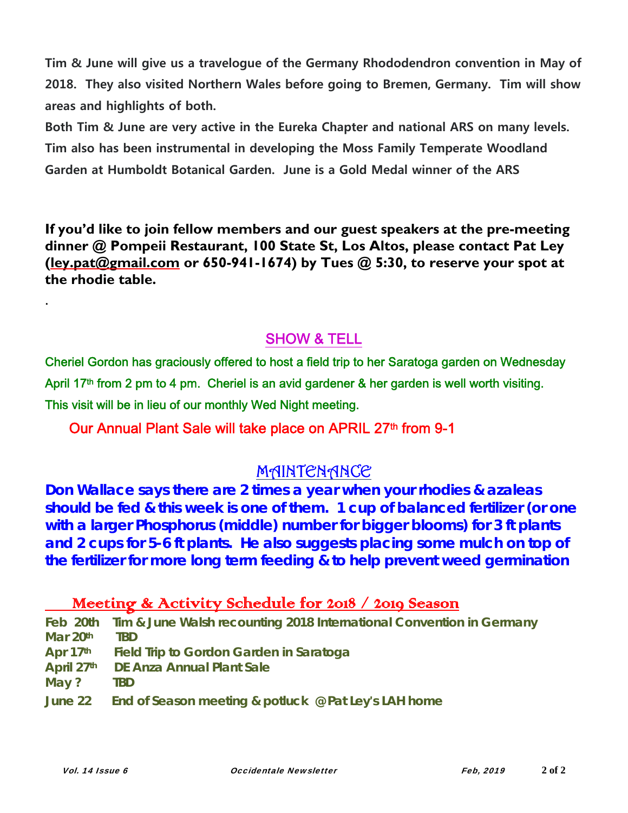**Tim & June will give us a travelogue of the Germany Rhododendron convention in May of 2018. They also visited Northern Wales before going to Bremen, Germany. Tim will show areas and highlights of both.** 

**Both Tim & June are very active in the Eureka Chapter and national ARS on many levels. Tim also has been instrumental in developing the Moss Family Temperate Woodland Garden at Humboldt Botanical Garden. June is a Gold Medal winner of the ARS** 

**If you'd like to join fellow members and our guest speakers at the pre-meeting dinner @ Pompeii Restaurant, 100 State St, Los Altos, please contact Pat Ley (ley.pat@gmail.com or 650-941-1674) by Tues @ 5:30, to reserve your spot at the rhodie table.** 

#### SHOW & TELL

Cheriel Gordon has graciously offered to host a field trip to her Saratoga garden on Wednesday April 17<sup>th</sup> from 2 pm to 4 pm. Cheriel is an avid gardener & her garden is well worth visiting. This visit will be in lieu of our monthly Wed Night meeting.

#### Our Annual Plant Sale will take place on APRIL 27th from 9-1

#### MAINTENANCE

**Don Wallace says there are 2 times a year when your rhodies & azaleas should be fed & this week is one of them. 1 cup of balanced fertilizer (or one with a larger Phosphorus (middle) number for bigger blooms) for 3 ft plants and 2 cups for 5-6 ft plants. He also suggests placing some mulch on top of the fertilizer for more long term feeding & to help prevent weed germination** 

#### Meeting & Activity Schedule for 2018 / 2019 Season

|          | Feb 20th Tim & June Walsh recounting 2018 International Convention in Germany |
|----------|-------------------------------------------------------------------------------|
| Mar 20th | <b>TBD</b>                                                                    |
|          | Apr 17 <sup>th</sup> Field Trip to Gordon Garden in Saratoga                  |
|          | April 27th DE Anza Annual Plant Sale                                          |
| May?     | TBD.                                                                          |
|          | June 22 End of Season meeting & potluck $\mathcal Q$ Pat Ley's LAH home       |

.